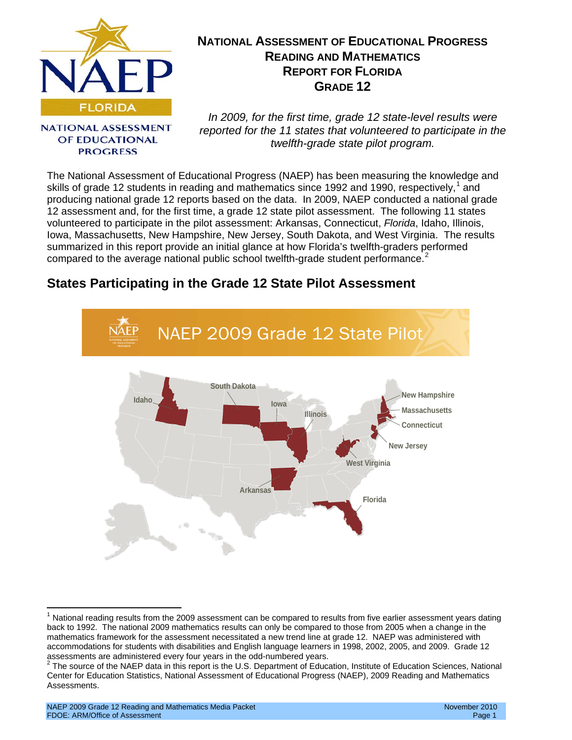<span id="page-0-1"></span>

# **NATIONAL ASSESSMENT OF EDUCATIONAL PROGRESS READING AND MATHEMATICS REPORT FOR FLORIDA GRADE 12**

**NATIONAL ASSESSMENT** OF EDUCATIONAL **PROGRESS** 

*In 2009, for the first time, grade 12 state-level results were reported for the 11 states that volunteered to participate in the twelfth-grade state pilot program.* 

The National Assessment of Educational Progress (NAEP) has been measuring the knowledge and skills of grade [1](#page-0-0)2 students in reading and mathematics since 1992 and 1990, respectively,<sup>1</sup> and producing national grade 12 reports based on the data. In 2009, NAEP conducted a national grade 12 assessment and, for the first time, a grade 12 state pilot assessment. The following 11 states volunteered to participate in the pilot assessment: Arkansas, Connecticut, *Florida*, Idaho, Illinois, Iowa, Massachusetts, New Hampshire, New Jersey, South Dakota, and West Virginia. The results summarized in this report provide an initial glance at how Florida's twelfth-graders performed compared to the average national public school twelfth-grade student performance.<sup>[2](#page-0-1)</sup>

# <span id="page-0-2"></span>**States Participating in the Grade 12 State Pilot Assessment**



National reading results from the 2009 assessment can be compared to results from five earlier assessment years dating back to 1992. The national 2009 mathematics results can only be compared to those from 2005 when a change in the mathematics framework for the assessment necessitated a new trend line at grade 12. NAEP was administered with accommodations for students with disabilities and English language learners in 1998, 2002, 2005, and 2009. Grade 12<br>assessments are administered every four years in the odd-numbered years.

<span id="page-0-0"></span> $2$  The source of the NAEP data in this report is the U.S. Department of Education, Institute of Education Sciences, National Center for Education Statistics, National Assessment of Educational Progress (NAEP), 2009 Reading and Mathematics Assessments.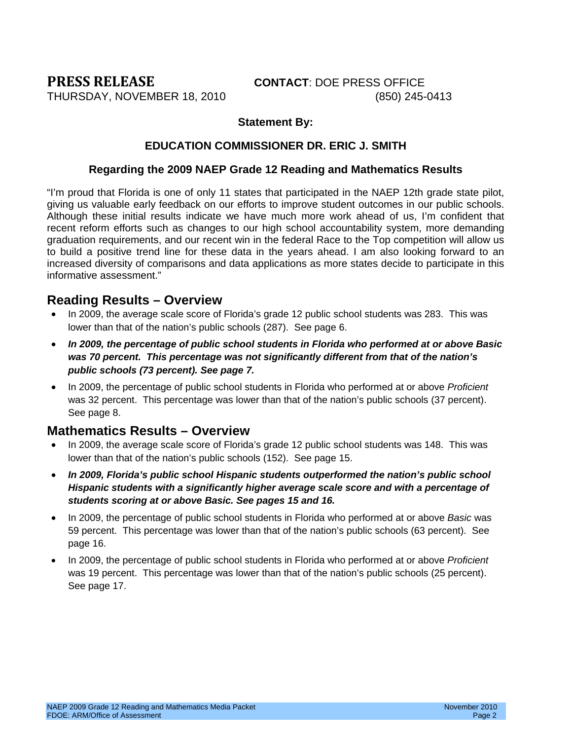<span id="page-1-0"></span>**PRESS RELEASE CONTACT**: DOE PRESS OFFICE

#### **Statement By:**

#### **EDUCATION COMMISSIONER DR. ERIC J. SMITH**

#### **Regarding the 2009 NAEP Grade 12 Reading and Mathematics Results**

"I'm proud that Florida is one of only 11 states that participated in the NAEP 12th grade state pilot, giving us valuable early feedback on our efforts to improve student outcomes in our public schools. Although these initial results indicate we have much more work ahead of us, I'm confident that recent reform efforts such as changes to our high school accountability system, more demanding graduation requirements, and our recent win in the federal Race to the Top competition will allow us to build a positive trend line for these data in the years ahead. I am also looking forward to an increased diversity of comparisons and data applications as more states decide to participate in this informative assessment."

#### <span id="page-1-1"></span>**Reading Results – Overview**

- In 2009, the average scale score of Florida's grade 12 public school students was 283. This was lower than that of the nation's public schools (287). See page 6.
- *In 2009, the percentage of public school students in Florida who performed at or above Basic was 70 percent. This percentage was not significantly different from that of the nation's public schools (73 percent). See page 7.*
- In 2009, the percentage of public school students in Florida who performed at or above *Proficient*  was 32 percent. This percentage was lower than that of the nation's public schools (37 percent). See page 8.

#### <span id="page-1-2"></span>**Mathematics Results – Overview**

- In 2009, the average scale score of Florida's grade 12 public school students was 148. This was lower than that of the nation's public schools (152). See page 15.
- *In 2009, Florida's public school Hispanic students outperformed the nation's public school Hispanic students with a significantly higher average scale score and with a percentage of students scoring at or above Basic. See pages 15 and 16.*
- In 2009, the percentage of public school students in Florida who performed at or above *Basic* was 59 percent. This percentage was lower than that of the nation's public schools (63 percent). See page 16.
- In 2009, the percentage of public school students in Florida who performed at or above *Proficient* was 19 percent. This percentage was lower than that of the nation's public schools (25 percent). See page 17.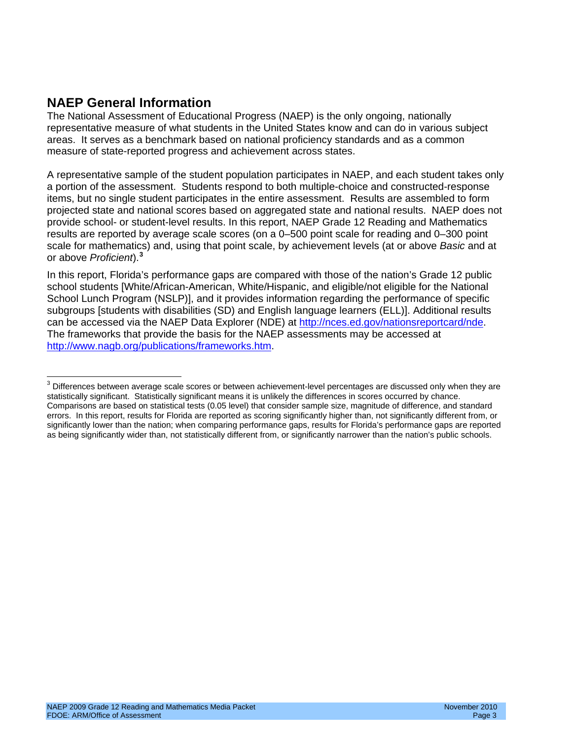### <span id="page-2-1"></span>**NAEP General Information**

The National Assessment of Educational Progress (NAEP) is the only ongoing, nationally representative measure of what students in the United States know and can do in various subject areas. It serves as a benchmark based on national proficiency standards and as a common measure of state-reported progress and achievement across states.

A representative sample of the student population participates in NAEP, and each student takes only a portion of the assessment. Students respond to both multiple-choice and constructed-response items, but no single student participates in the entire assessment. Results are assembled to form projected state and national scores based on aggregated state and national results. NAEP does not provide school- or student-level results. In this report, NAEP Grade 12 Reading and Mathematics results are reported by average scale scores (on a 0–500 point scale for reading and 0–300 point scale for mathematics) and, using that point scale, by achievement levels (at or above *Basic* and at or above *Proficient*).**[3](#page-2-0)**

<span id="page-2-0"></span>In this report, Florida's performance gaps are compared with those of the nation's Grade 12 public school students [White/African-American, White/Hispanic, and eligible/not eligible for the National School Lunch Program (NSLP)], and it provides information regarding the performance of specific subgroups [students with disabilities (SD) and English language learners (ELL)]. Additional results can be accessed via the NAEP Data Explorer (NDE) at <u>http://nces.ed.gov/nationsreportcard/nde</u> The frameworks that provide the basis for the NAEP assessments may be accessed at [http://www.nagb.org/publications/frameworks.htm.](http://www.nagb.org/publications/frameworks.htm)

<sup>&</sup>lt;sup>3</sup> Differences between average scale scores or between achievement-level percentages are discussed only when they are statistically significant. Statistically significant means it is unlikely the differences in scores occurred by chance. Comparisons are based on statistical tests (0.05 level) that consider sample size, magnitude of difference, and standard errors. In this report, results for Florida are reported as scoring significantly higher than, not significantly different from, or significantly lower than the nation; when comparing performance gaps, results for Florida's performance gaps are reported as being significantly wider than, not statistically different from, or significantly narrower than the nation's public schools.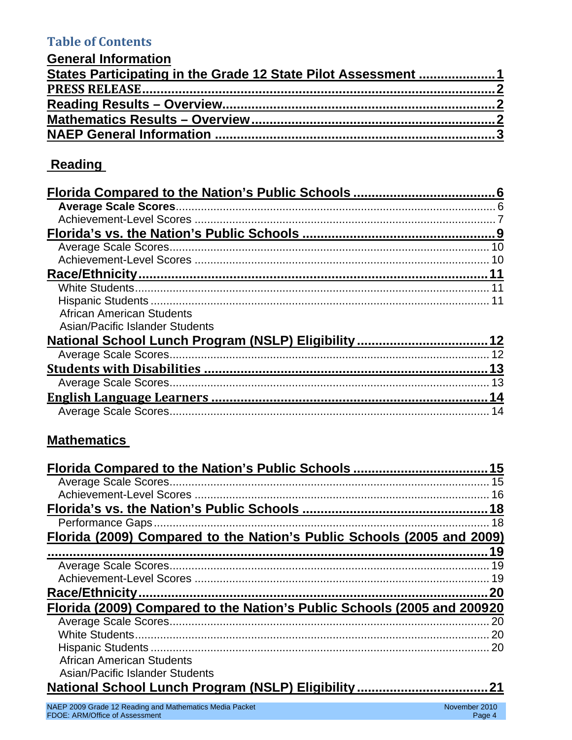# **Table of Contents**

| <b>General Information</b>                                    |  |
|---------------------------------------------------------------|--|
| States Participating in the Grade 12 State Pilot Assessment 1 |  |
|                                                               |  |
|                                                               |  |
|                                                               |  |
|                                                               |  |

# Reading

|                                                     | 10  |
|-----------------------------------------------------|-----|
|                                                     |     |
|                                                     |     |
|                                                     |     |
| <b>African American Students</b>                    |     |
| Asian/Pacific Islander Students                     |     |
| National School Lunch Program (NSLP) Eligibility 12 |     |
|                                                     |     |
|                                                     |     |
|                                                     | -13 |
|                                                     |     |
|                                                     |     |

# **Mathematics**

|                                                                         | 15 |
|-------------------------------------------------------------------------|----|
|                                                                         | 16 |
|                                                                         |    |
|                                                                         |    |
| Florida (2009) Compared to the Nation's Public Schools (2005 and 2009)  |    |
|                                                                         |    |
|                                                                         | 19 |
|                                                                         |    |
|                                                                         |    |
| Florida (2009) Compared to the Nation's Public Schools (2005 and 200920 |    |
|                                                                         | 20 |
|                                                                         | 20 |
|                                                                         |    |
| African American Students                                               |    |
| Asian/Pacific Islander Students                                         |    |
|                                                                         |    |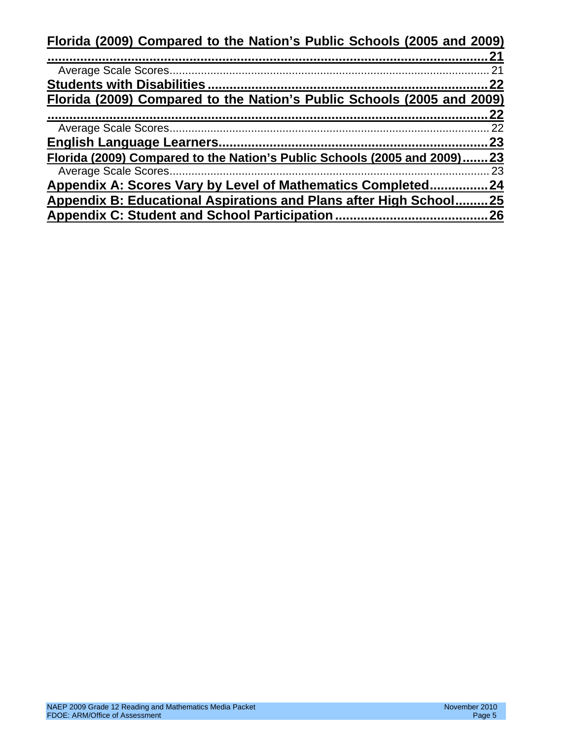**[Florida \(2009\) Compared to the Nation's Public Schools \(2005 and 2009\)](#page-20-1)**

|                                                                        | 21  |
|------------------------------------------------------------------------|-----|
|                                                                        | 22  |
| Florida (2009) Compared to the Nation's Public Schools (2005 and 2009) |     |
|                                                                        | 22  |
|                                                                        |     |
|                                                                        | 23  |
| Florida (2009) Compared to the Nation's Public Schools (2005 and 2009) | .23 |
|                                                                        | 23  |
| Appendix A: Scores Vary by Level of Mathematics Completed              | 24  |
| Appendix B: Educational Aspirations and Plans after High School        | 25  |
|                                                                        | .26 |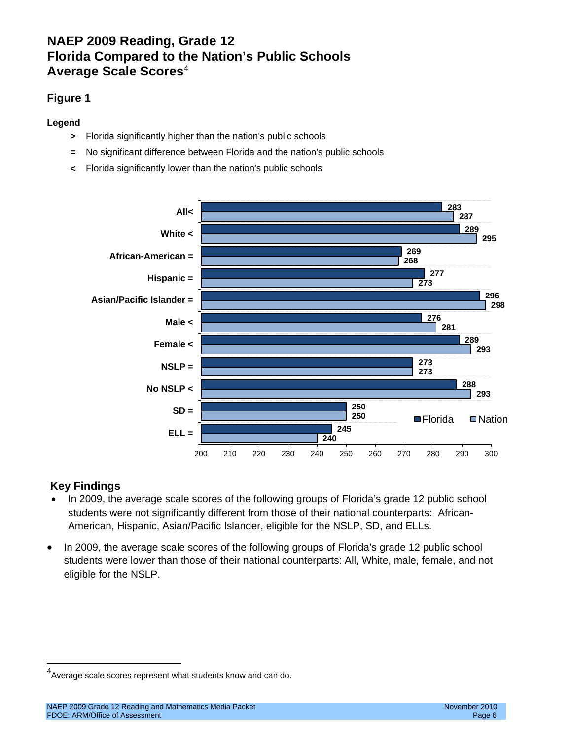### <span id="page-5-0"></span>**NAEP 2009 Reading, Grade 12 Florida Compared to the Nation's Public Schools Average Scale Scores**[4](#page-5-2)

#### <span id="page-5-1"></span>**Figure 1**

**Legend**

- **>** Florida significantly higher than the nation's public schools
- **=** No significant difference between Florida and the nation's public schools
- **<** Florida significantly lower than the nation's public schools



- In 2009, the average scale scores of the following groups of Florida's grade 12 public school students were not significantly different from those of their national counterparts: African-American, Hispanic, Asian/Pacific Islander, eligible for the NSLP, SD, and ELLs.
- In 2009, the average scale scores of the following groups of Florida's grade 12 public school students were lower than those of their national counterparts: All, White, male, female, and not eligible for the NSLP.

<span id="page-5-2"></span> <sup>4</sup> Average scale scores represent what students know and can do.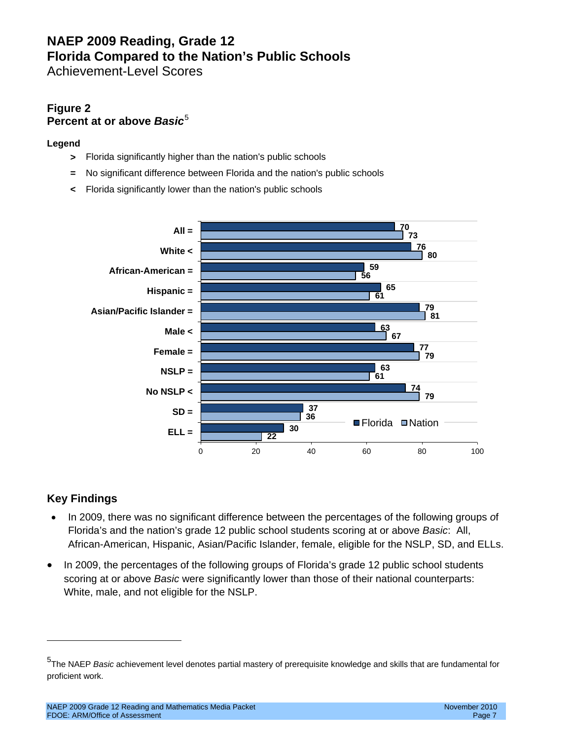# **NAEP 2009 Reading, Grade 12 Florida Compared to the Nation's Public Schools**

<span id="page-6-0"></span>Achievement-Level Scores

#### **Figure 2 Percent at or above Basic<sup>[5](#page-6-1)</sup>**

#### **Legend**

- **>** Florida significantly higher than the nation's public schools
- **=** No significant difference between Florida and the nation's public schools
- **<** Florida significantly lower than the nation's public schools



#### **Key Findings**

 $\overline{a}$ 

- In 2009, there was no significant difference between the percentages of the following groups *o*f Florida's and the nation's grade 12 public school students scoring at or above *Basic*: All, African-American, Hispanic, Asian/Pacific Islander, female, eligible for the NSLP, SD, and ELLs.
- In 2009, the percentages of the following groups of Florida's grade 12 public school students scoring at or above *Basic* were significantly lower than those of their national counterparts: White, male, and not eligible for the NSLP.

<span id="page-6-1"></span><sup>5</sup> The NAEP *Basic* achievement level denotes partial mastery of prerequisite knowledge and skills that are fundamental for proficient work.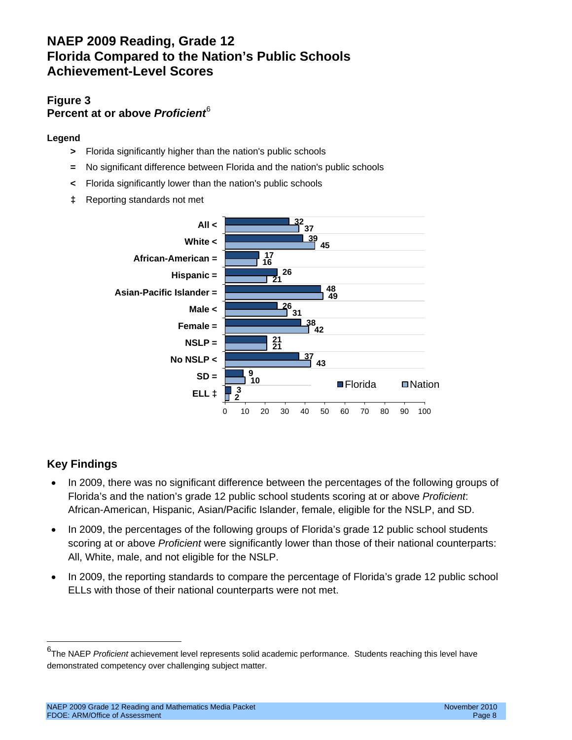### **NAEP 2009 Reading, Grade 12 Florida Compared to the Nation's Public Schools Achievement-Level Scores**

#### **Figure 3 Percent at or above** *Proficient*[6](#page-7-0)

#### **Legend**

- **>** Florida significantly higher than the nation's public schools
- **=** No significant difference between Florida and the nation's public schools
- **<** Florida significantly lower than the nation's public schools
- **‡** Reporting standards not met



- In 2009, there was no significant difference between the percentages of the following groups of Florida's and the nation's grade 12 public school students scoring at or above *Proficient*: African-American, Hispanic, Asian/Pacific Islander, female, eligible for the NSLP, and SD.
- In 2009, the percentages of the following groups of Florida's grade 12 public school students scoring at or above *Proficient* were significantly lower than those of their national counterparts: All, White, male, and not eligible for the NSLP.
- In 2009, the reporting standards to compare the percentage of Florida's grade 12 public school ELLs with those of their national counterparts were not met.

<span id="page-7-0"></span> <sup>6</sup> The NAEP *Proficient* achievement level represents solid academic performance. Students reaching this level have demonstrated competency over challenging subject matter.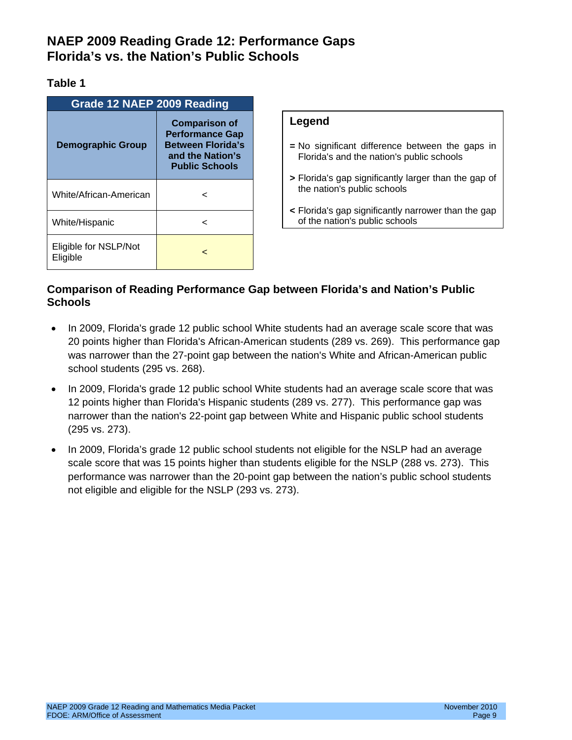# <span id="page-8-0"></span>**NAEP 2009 Reading Grade 12: Performance Gaps Florida's vs. the Nation's Public Schools**

#### **Table 1**

| <b>Grade 12 NAEP 2009 Reading</b> |                                                                                                                         |  |
|-----------------------------------|-------------------------------------------------------------------------------------------------------------------------|--|
| <b>Demographic Group</b>          | <b>Comparison of</b><br><b>Performance Gap</b><br><b>Between Florida's</b><br>and the Nation's<br><b>Public Schools</b> |  |
| White/African-American            | ╯                                                                                                                       |  |
| White/Hispanic                    |                                                                                                                         |  |
| Eligible for NSLP/Not<br>Eligible |                                                                                                                         |  |

#### **Legend**

- **=** No significant difference between the gaps in Florida's and the nation's public schools
- **>** Florida's gap significantly larger than the gap of the nation's public schools
- **<** Florida's gap significantly narrower than the gap of the nation's public schools

#### **Comparison of Reading Performance Gap between Florida's and Nation's Public Schools**

- In 2009, Florida's grade 12 public school White students had an average scale score that was 20 points higher than Florida's African-American students (289 vs. 269). This performance gap was narrower than the 27-point gap between the nation's White and African-American public school students (295 vs. 268).
- In 2009, Florida's grade 12 public school White students had an average scale score that was 12 points higher than Florida's Hispanic students (289 vs. 277). This performance gap was narrower than the nation's 22-point gap between White and Hispanic public school students (295 vs. 273).
- In 2009, Florida's grade 12 public school students not eligible for the NSLP had an average scale score that was 15 points higher than students eligible for the NSLP (288 vs. 273). This performance was narrower than the 20-point gap between the nation's public school students not eligible and eligible for the NSLP (293 vs. 273).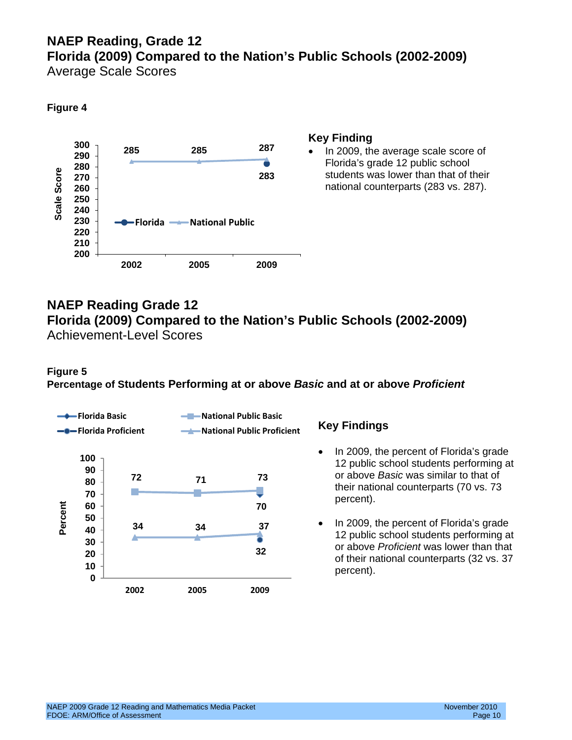# **NAEP Reading, Grade 12 Florida (2009) Compared to the Nation's Public Schools (2002-2009)**

<span id="page-9-0"></span>Average Scale Scores

#### **Figure 4**



#### **Key Finding**

• In 2009, the average scale score of Florida's grade 12 public school students was lower than that of their national counterparts (283 vs. 287).

### <span id="page-9-1"></span>**NAEP Reading Grade 12 Florida (2009) Compared to the Nation's Public Schools (2002-2009)** Achievement-Level Scores

#### **Figure 5**

**Percentage of Students Performing at or above** *Basic* **and at or above** *Proficient*



- In 2009, the percent of Florida's grade 12 public school students performing at or above *Basic* was similar to that of their national counterparts (70 vs. 73 percent).
- In 2009, the percent of Florida's grade 12 public school students performing at or above *Proficient* was lower than that of their national counterparts (32 vs. 37 percent).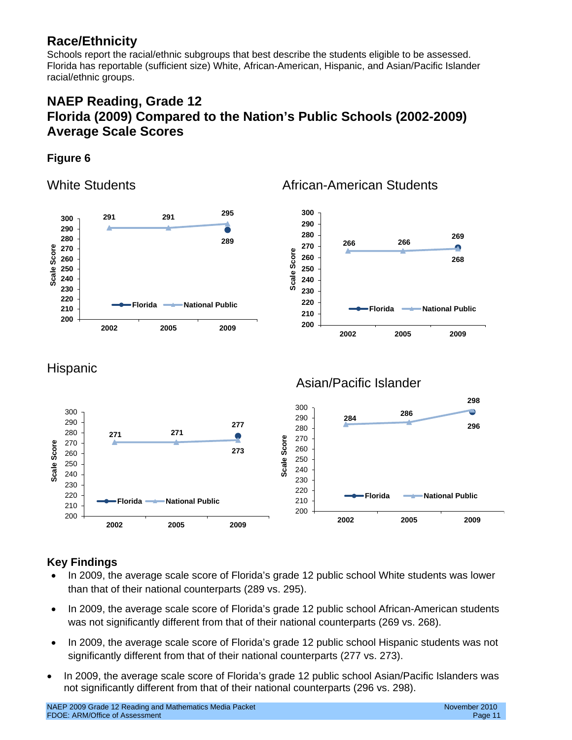# <span id="page-10-0"></span>**Race/Ethnicity**

Schools report the racial/ethnic subgroups that best describe the students eligible to be assessed. Florida has reportable (sufficient size) White, African-American, Hispanic, and Asian/Pacific Islander racial/ethnic groups.

# **NAEP Reading, Grade 12 Florida (2009) Compared to the Nation's Public Schools (2002-2009) Average Scale Scores**

#### **Figure 6**

<span id="page-10-1"></span>White Students **African-American Students** 

<span id="page-10-2"></span>

- In 2009, the average scale score of Florida's grade 12 public school White students was lower than that of their national counterparts (289 vs. 295).
- In 2009, the average scale score of Florida's grade 12 public school African-American students was not significantly different from that of their national counterparts (269 vs. 268).
- In 2009, the average scale score of Florida's grade 12 public school Hispanic students was not significantly different from that of their national counterparts (277 vs. 273).
- In 2009, the average scale score of Florida's grade 12 public school Asian/Pacific Islanders was not significantly different from that of their national counterparts (296 vs. 298).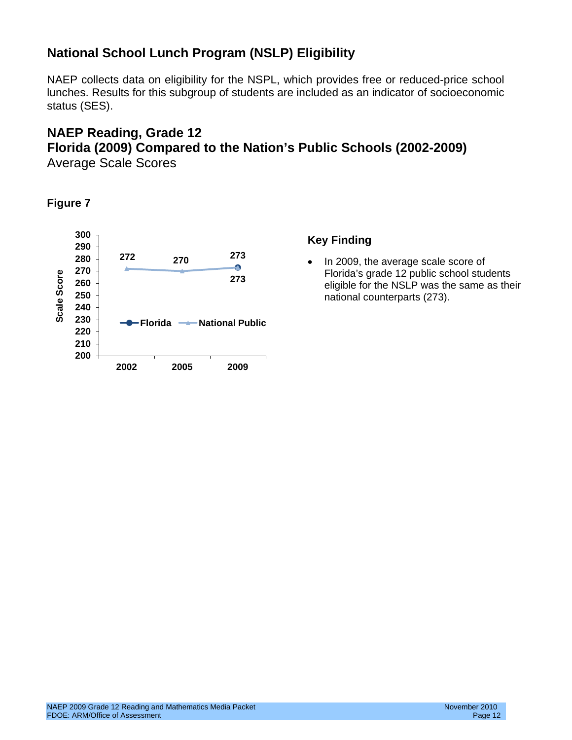# <span id="page-11-0"></span>**National School Lunch Program (NSLP) Eligibility**

NAEP collects data on eligibility for the NSPL, which provides free or reduced-price school lunches. Results for this subgroup of students are included as an indicator of socioeconomic status (SES).

# **NAEP Reading, Grade 12 Florida (2009) Compared to the Nation's Public Schools (2002-2009)**

<span id="page-11-1"></span>Average Scale Scores

**Figure 7**



#### **Key Finding**

• In 2009, the average scale score of Florida's grade 12 public school students eligible for the NSLP was the same as their national counterparts (273).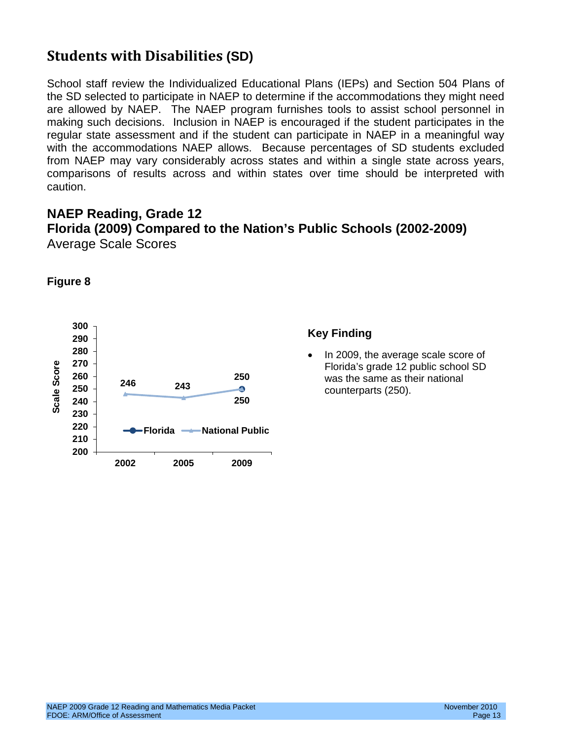# <span id="page-12-0"></span>**Students with Disabilities (SD)**

School staff review the Individualized Educational Plans (IEPs) and Section 504 Plans of the SD selected to participate in NAEP to determine if the accommodations they might need are allowed by NAEP. The NAEP program furnishes tools to assist school personnel in making such decisions. Inclusion in NAEP is encouraged if the student participates in the regular state assessment and if the student can participate in NAEP in a meaningful way with the accommodations NAEP allows. Because percentages of SD students excluded from NAEP may vary considerably across states and within a single state across years, comparisons of results across and within states over time should be interpreted with caution.

### <span id="page-12-1"></span>**NAEP Reading, Grade 12 Florida (2009) Compared to the Nation's Public Schools (2002-2009)** Average Scale Scores



**Figure 8**

#### **Key Finding**

• In 2009, the average scale score of Florida's grade 12 public school SD was the same as their national counterparts (250).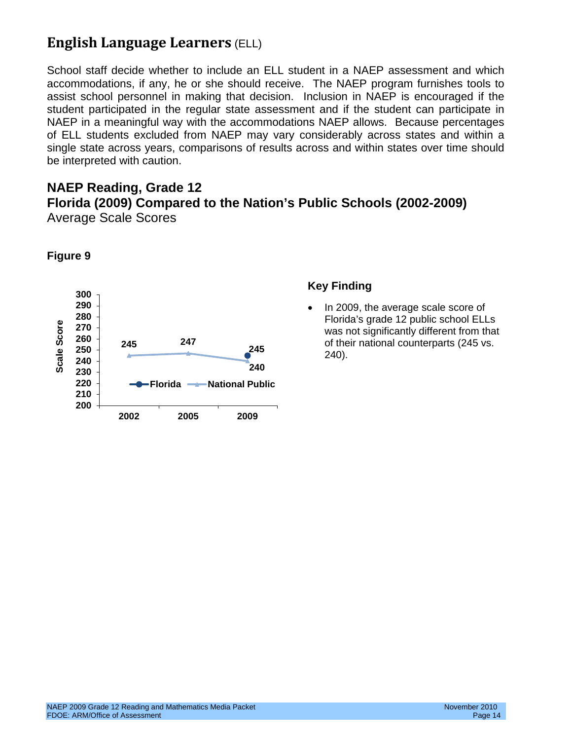# <span id="page-13-0"></span>**English Language Learners** (ELL)

School staff decide whether to include an ELL student in a NAEP assessment and which accommodations, if any, he or she should receive. The NAEP program furnishes tools to assist school personnel in making that decision. Inclusion in NAEP is encouraged if the student participated in the regular state assessment and if the student can participate in NAEP in a meaningful way with the accommodations NAEP allows. Because percentages of ELL students excluded from NAEP may vary considerably across states and within a single state across years, comparisons of results across and within states over time should be interpreted with caution.

#### <span id="page-13-1"></span>**NAEP Reading, Grade 12 Florida (2009) Compared to the Nation's Public Schools (2002-2009)** Average Scale Scores



**Figure 9**

#### **Key Finding**

• In 2009, the average scale score of Florida's grade 12 public school ELLs was not significantly different from that of their national counterparts (245 vs. 240).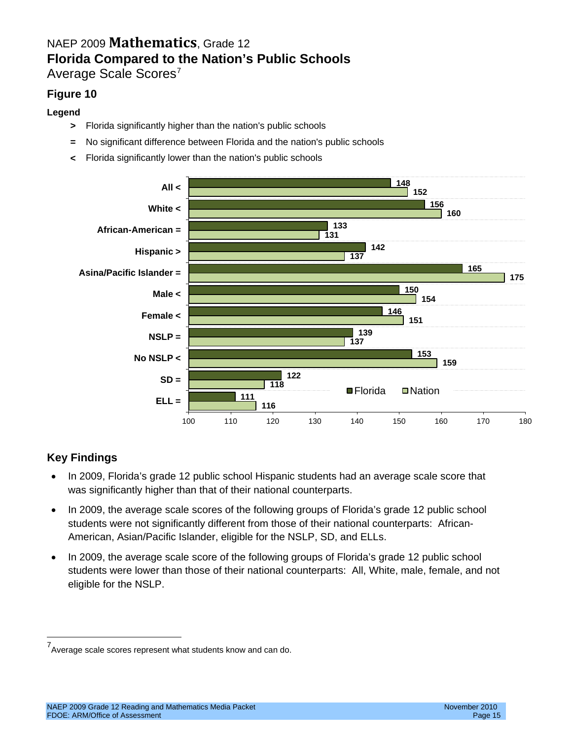# <span id="page-14-0"></span>NAEP 2009 **Mathematics**, Grade 12 **Florida Compared to the Nation's Public Schools**

<span id="page-14-1"></span>Average Scale Scores<sup>[7](#page-14-2)</sup>

#### **Figure 10**

#### **Legend**

- **>** Florida significantly higher than the nation's public schools
- **=** No significant difference between Florida and the nation's public schools
- **<** Florida significantly lower than the nation's public schools



- In 2009, Florida's grade 12 public school Hispanic students had an average scale score that was significantly higher than that of their national counterparts.
- In 2009, the average scale scores of the following groups of Florida's grade 12 public school students were not significantly different from those of their national counterparts: African-American, Asian/Pacific Islander, eligible for the NSLP, SD, and ELLs.
- In 2009, the average scale score of the following groups of Florida's grade 12 public school students were lower than those of their national counterparts: All, White, male, female, and not eligible for the NSLP.

<span id="page-14-2"></span> <sup>7</sup> Average scale scores represent what students know and can do.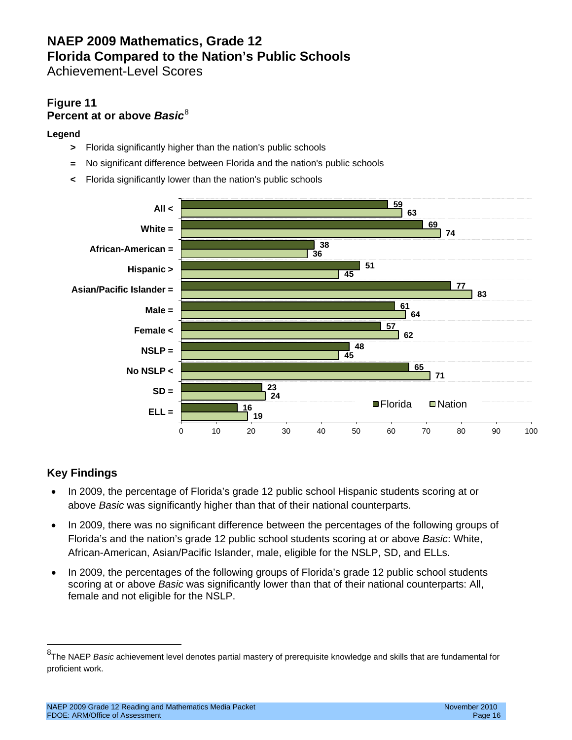# **NAEP 2009 Mathematics, Grade 12 Florida Compared to the Nation's Public Schools**

<span id="page-15-0"></span>Achievement-Level Scores

#### **Figure 11 Percent at or above** *Basic*[8](#page-15-1)

#### **Legend**

- **>** Florida significantly higher than the nation's public schools
- **=** No significant difference between Florida and the nation's public schools
- **<** Florida significantly lower than the nation's public schools



- In 2009, the percentage of Florida's grade 12 public school Hispanic students scoring at or above *Basic* was significantly higher than that of their national counterparts.
- In 2009, there was no significant difference between the percentages of the following groups of Florida's and the nation's grade 12 public school students scoring at or above *Basic*: White, African-American, Asian/Pacific Islander, male, eligible for the NSLP, SD, and ELLs.
- In 2009, the percentages of the following groups of Florida's grade 12 public school students scoring at or above *Basic* was significantly lower than that of their national counterparts: All, female and not eligible for the NSLP.

<span id="page-15-1"></span> <sup>8</sup> The NAEP *Basic* achievement level denotes partial mastery of prerequisite knowledge and skills that are fundamental for proficient work.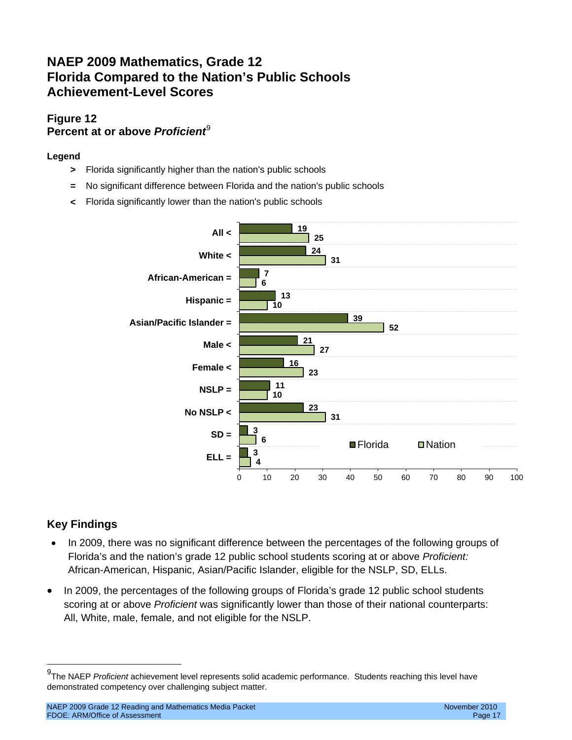# **NAEP 2009 Mathematics, Grade 12 Florida Compared to the Nation's Public Schools Achievement-Level Scores**

#### **Figure 12 Percent at or above** *Proficient*[9](#page-16-0)

#### **Legend**

- **>** Florida significantly higher than the nation's public schools
- **=** No significant difference between Florida and the nation's public schools
- **<** Florida significantly lower than the nation's public schools



- In 2009, there was no significant difference between the percentages of the following groups of Florida's and the nation's grade 12 public school students scoring at or above *Proficient:* African-American, Hispanic, Asian/Pacific Islander, eligible for the NSLP, SD, ELLs.
- In 2009, the percentages of the following groups of Florida's grade 12 public school students scoring at or above *Proficient* was significantly lower than those of their national counterparts: All, White, male, female, and not eligible for the NSLP.

<span id="page-16-0"></span> <sup>9</sup> The NAEP *Proficient* achievement level represents solid academic performance. Students reaching this level have demonstrated competency over challenging subject matter.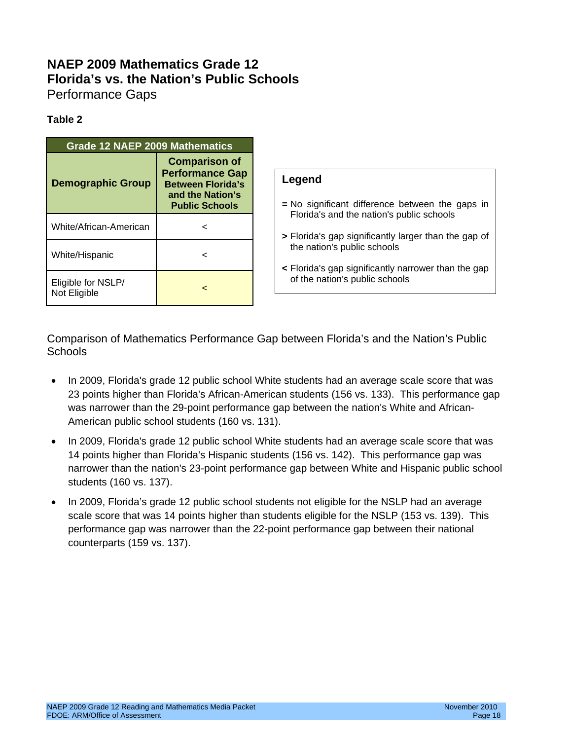# <span id="page-17-0"></span>**NAEP 2009 Mathematics Grade 12 Florida's vs. the Nation's Public Schools** Performance Gaps

#### <span id="page-17-1"></span>**Table 2**

| <b>Grade 12 NAEP 2009 Mathematics</b> |                                                                                                                         |                                                                                                   |
|---------------------------------------|-------------------------------------------------------------------------------------------------------------------------|---------------------------------------------------------------------------------------------------|
| <b>Demographic Group</b>              | <b>Comparison of</b><br><b>Performance Gap</b><br><b>Between Florida's</b><br>and the Nation's<br><b>Public Schools</b> | Legend<br>$=$ No significant difference between the gaps in                                       |
| White/African-American                |                                                                                                                         | Florida's and the nation's public schools<br>> Florida's gap significantly larger than the gap of |
| White/Hispanic                        | <                                                                                                                       | the nation's public schools<br>< Florida's gap significantly narrower than the gap                |
| Eligible for NSLP/<br>Not Eligible    | <                                                                                                                       | of the nation's public schools                                                                    |

Comparison of Mathematics Performance Gap between Florida's and the Nation's Public **Schools** 

- In 2009, Florida's grade 12 public school White students had an average scale score that was 23 points higher than Florida's African-American students (156 vs. 133). This performance gap was narrower than the 29-point performance gap between the nation's White and African-American public school students (160 vs. 131).
- In 2009, Florida's grade 12 public school White students had an average scale score that was 14 points higher than Florida's Hispanic students (156 vs. 142). This performance gap was narrower than the nation's 23-point performance gap between White and Hispanic public school students (160 vs. 137).
- In 2009, Florida's grade 12 public school students not eligible for the NSLP had an average scale score that was 14 points higher than students eligible for the NSLP (153 vs. 139). This performance gap was narrower than the 22-point performance gap between their national counterparts (159 vs. 137).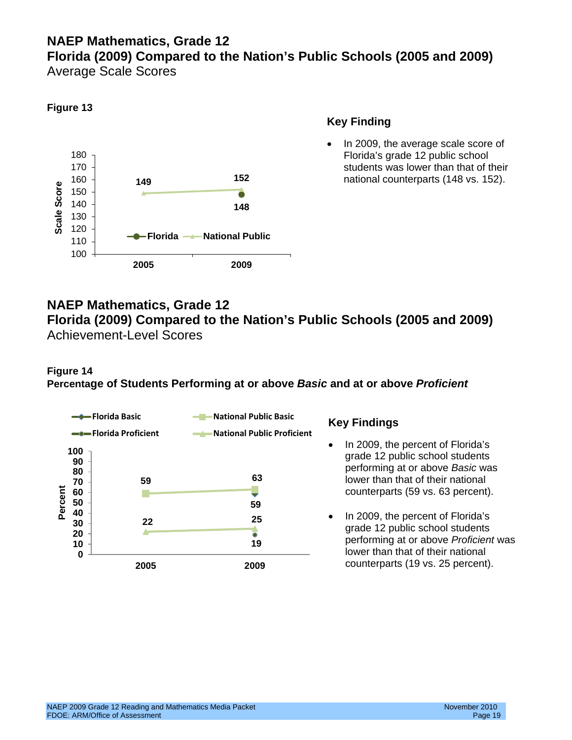# <span id="page-18-0"></span>**NAEP Mathematics, Grade 12 Florida (2009) Compared to the Nation's Public Schools (2005 and 2009)**

<span id="page-18-1"></span>Average Scale Scores



#### **Key Finding**

In 2009, the average scale score of Florida's grade 12 public school students was lower than that of their national counterparts (148 vs. 152).

### <span id="page-18-2"></span>**NAEP Mathematics, Grade 12 Florida (2009) Compared to the Nation's Public Schools (2005 and 2009)** Achievement-Level Scores

#### **Figure 14 Percentage of Students Performing at or above** *Basic* **and at or above** *Proficient*



- In 2009, the percent of Florida's grade 12 public school students performing at or above *Basic* was lower than that of their national counterparts (59 vs. 63 percent).
- In 2009, the percent of Florida's grade 12 public school students performing at or above *Proficient* was lower than that of their national counterparts (19 vs. 25 percent).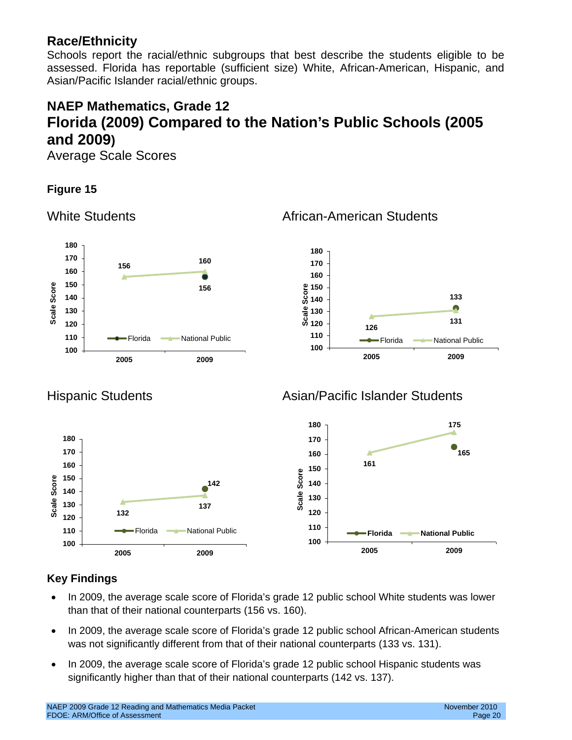# <span id="page-19-0"></span>**Race/Ethnicity**

Schools report the racial/ethnic subgroups that best describe the students eligible to be assessed. Florida has reportable (sufficient size) White, African-American, Hispanic, and Asian/Pacific Islander racial/ethnic groups.

# <span id="page-19-1"></span>**NAEP Mathematics, Grade 12 Florida (2009) Compared to the Nation's Public Schools (2005 and 2009)**

<span id="page-19-2"></span>Average Scale Scores

### **Figure 15**

<span id="page-19-3"></span>



### <span id="page-19-4"></span>Hispanic Students **Asian/Pacific Islander Students**



- In 2009, the average scale score of Florida's grade 12 public school White students was lower than that of their national counterparts (156 vs. 160).
- In 2009, the average scale score of Florida's grade 12 public school African-American students was not significantly different from that of their national counterparts (133 vs. 131).
- In 2009, the average scale score of Florida's grade 12 public school Hispanic students was significantly higher than that of their national counterparts (142 vs. 137).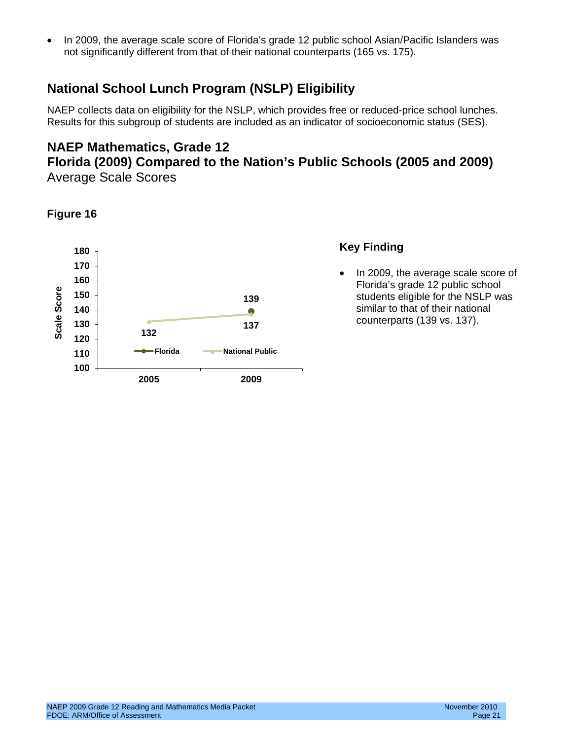• In 2009, the average scale score of Florida's grade 12 public school Asian/Pacific Islanders was not significantly different from that of their national counterparts (165 vs. 175).

# <span id="page-20-0"></span>**National School Lunch Program (NSLP) Eligibility**

NAEP collects data on eligibility for the NSLP, which provides free or reduced-price school lunches. Results for this subgroup of students are included as an indicator of socioeconomic status (SES).

### **NAEP Mathematics, Grade 12**

### <span id="page-20-2"></span><span id="page-20-1"></span>**Florida (2009) Compared to the Nation's Public Schools (2005 and 2009)** Average Scale Scores

#### **Figure 16**



#### **Key Finding**

• In 2009, the average scale score of Florida's grade 12 public school students eligible for the NSLP was similar to that of their national counterparts (139 vs. 137).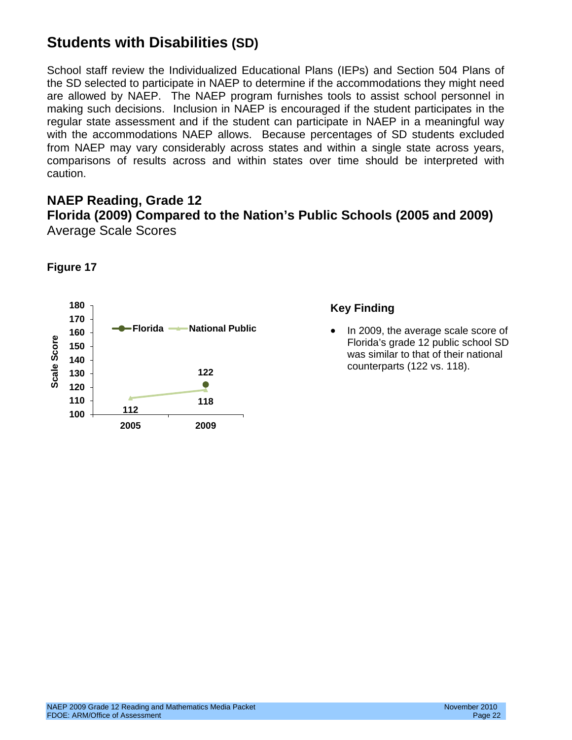# <span id="page-21-0"></span>**Students with Disabilities (SD)**

School staff review the Individualized Educational Plans (IEPs) and Section 504 Plans of the SD selected to participate in NAEP to determine if the accommodations they might need are allowed by NAEP. The NAEP program furnishes tools to assist school personnel in making such decisions. Inclusion in NAEP is encouraged if the student participates in the regular state assessment and if the student can participate in NAEP in a meaningful way with the accommodations NAEP allows. Because percentages of SD students excluded from NAEP may vary considerably across states and within a single state across years, comparisons of results across and within states over time should be interpreted with caution.

#### <span id="page-21-2"></span><span id="page-21-1"></span>**NAEP Reading, Grade 12 Florida (2009) Compared to the Nation's Public Schools (2005 and 2009)** Average Scale Scores



#### **Figure 17**

#### **Key Finding**

• In 2009, the average scale score of Florida's grade 12 public school SD was similar to that of their national counterparts (122 vs. 118).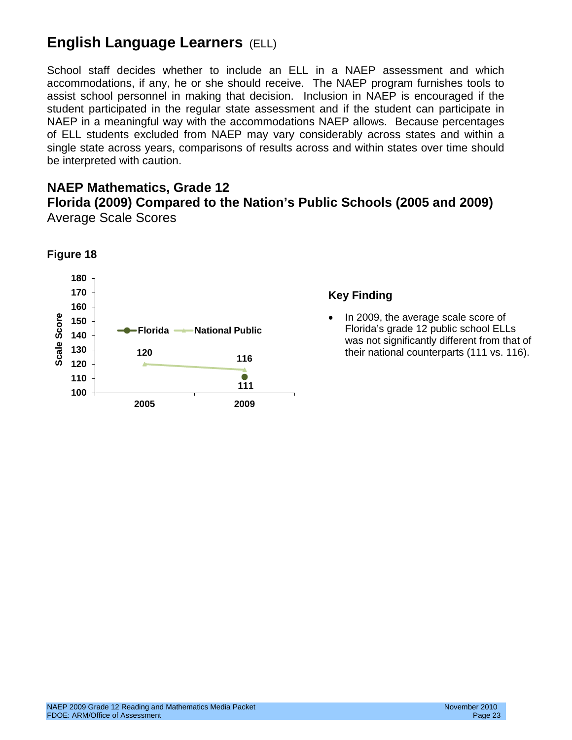# <span id="page-22-0"></span>**English Language Learners** (ELL)

School staff decides whether to include an ELL in a NAEP assessment and which accommodations, if any, he or she should receive. The NAEP program furnishes tools to assist school personnel in making that decision. Inclusion in NAEP is encouraged if the student participated in the regular state assessment and if the student can participate in NAEP in a meaningful way with the accommodations NAEP allows. Because percentages of ELL students excluded from NAEP may vary considerably across states and within a single state across years, comparisons of results across and within states over time should be interpreted with caution.

#### <span id="page-22-2"></span><span id="page-22-1"></span>**NAEP Mathematics, Grade 12 Florida (2009) Compared to the Nation's Public Schools (2005 and 2009)** Average Scale Scores



#### **Key Finding**

• In 2009, the average scale score of Florida's grade 12 public school ELLs was not significantly different from that of their national counterparts (111 vs. 116).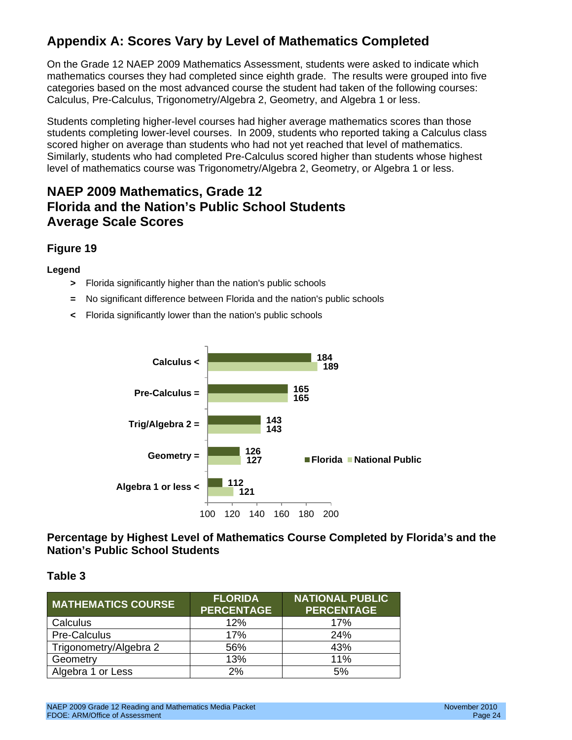# <span id="page-23-0"></span>**Appendix A: Scores Vary by Level of Mathematics Completed**

On the Grade 12 NAEP 2009 Mathematics Assessment, students were asked to indicate which mathematics courses they had completed since eighth grade. The results were grouped into five categories based on the most advanced course the student had taken of the following courses: Calculus, Pre-Calculus, Trigonometry/Algebra 2, Geometry, and Algebra 1 or less.

Students completing higher-level courses had higher average mathematics scores than those students completing lower-level courses. In 2009, students who reported taking a Calculus class scored higher on average than students who had not yet reached that level of mathematics. Similarly, students who had completed Pre-Calculus scored higher than students whose highest level of mathematics course was Trigonometry/Algebra 2, Geometry, or Algebra 1 or less.

# **NAEP 2009 Mathematics, Grade 12 Florida and the Nation's Public School Students Average Scale Scores**

#### **Figure 19**

#### **Legend**

- **>** Florida significantly higher than the nation's public schools
- **=** No significant difference between Florida and the nation's public schools
- **<** Florida significantly lower than the nation's public schools



**Percentage by Highest Level of Mathematics Course Completed by Florida's and the Nation's Public School Students**

#### **Table 3**

| <b>MATHEMATICS COURSE</b> | <b>FLORIDA</b><br><b>PERCENTAGE</b> | <b>NATIONAL PUBLIC</b><br><b>PERCENTAGE</b> |
|---------------------------|-------------------------------------|---------------------------------------------|
| Calculus                  | 12%                                 | 17%                                         |
| Pre-Calculus              | 17%                                 | 24%                                         |
| Trigonometry/Algebra 2    | 56%                                 | 43%                                         |
| Geometry                  | 13%                                 | 11%                                         |
| Algebra 1 or Less         | 2%                                  | 5%                                          |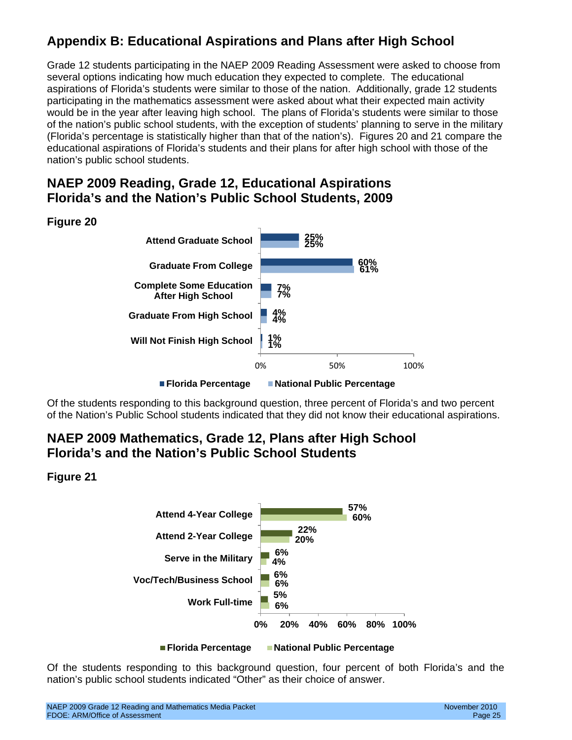# <span id="page-24-0"></span>**Appendix B: Educational Aspirations and Plans after High School**

Grade 12 students participating in the NAEP 2009 Reading Assessment were asked to choose from several options indicating how much education they expected to complete. The educational aspirations of Florida's students were similar to those of the nation. Additionally, grade 12 students participating in the mathematics assessment were asked about what their expected main activity would be in the year after leaving high school. The plans of Florida's students were similar to those of the nation's public school students, with the exception of students' planning to serve in the military (Florida's percentage is statistically higher than that of the nation's). Figures 20 and 21 compare the educational aspirations of Florida's students and their plans for after high school with those of the nation's public school students.

### **NAEP 2009 Reading, Grade 12, Educational Aspirations Florida's and the Nation's Public School Students, 2009**





Of the students responding to this background question, three percent of Florida's and two percent of the Nation's Public School students indicated that they did not know their educational aspirations.

# **NAEP 2009 Mathematics, Grade 12, Plans after High School Florida's and the Nation's Public School Students**

#### **Figure 21**



**Florida Percentage National Public Percentage**

Of the students responding to this background question, four percent of both Florida's and the nation's public school students indicated "Other" as their choice of answer.